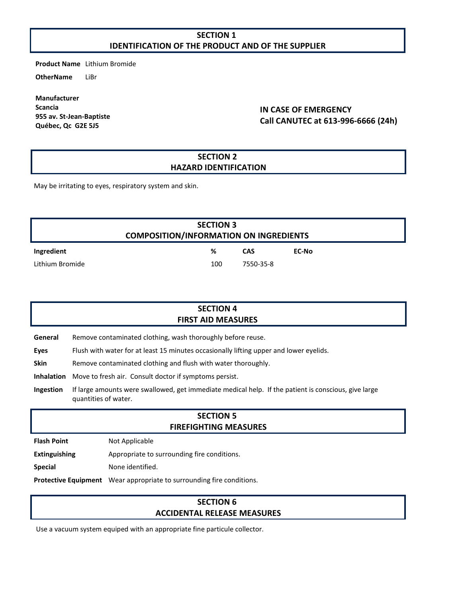### **SECTION 1 IDENTIFICATION OF THE PRODUCT AND OF THE SUPPLIER**

**Product Name** Lithium Bromide

**OtherName** LiBr

**Manufacturer Scancia 955 av. St-Jean-Baptiste Québec, Qc G2E 5J5**

### **IN CASE OF EMERGENCY Call CANUTEC at 613-996-6666 (24h)**

#### **SECTION 2 HAZARD IDENTIFICATION**

May be irritating to eyes, respiratory system and skin.

| <b>SECTION 3</b><br><b>COMPOSITION/INFORMATION ON INGREDIENTS</b> |     |            |       |  |  |
|-------------------------------------------------------------------|-----|------------|-------|--|--|
| Ingredient                                                        | %   | <b>CAS</b> | EC-No |  |  |
| Lithium Bromide                                                   | 100 | 7550-35-8  |       |  |  |

| <b>SECTION 4</b><br><b>FIRST AID MEASURES</b> |                                                                                        |  |
|-----------------------------------------------|----------------------------------------------------------------------------------------|--|
| General                                       | Remove contaminated clothing, wash thoroughly before reuse.                            |  |
| Eyes                                          | Flush with water for at least 15 minutes occasionally lifting upper and lower eyelids. |  |

**Skin** Remove contaminated clothing and flush with water thoroughly.

**Inhalation** Move to fresh air. Consult doctor if symptoms persist.

**Ingestion** If large amounts were swallowed, get immediate medical help. If the patient is conscious, give large quantities of water.

## **SECTION 5 FIREFIGHTING MEASURES**

**Flash Point** Not Applicable

**Extinguishing** Appropriate to surrounding fire conditions.

**Special** None identified.

**Protective Equipment** Wear appropriate to surrounding fire conditions.

#### **SECTION 6 ACCIDENTAL RELEASE MEASURES**

Use a vacuum system equiped with an appropriate fine particule collector.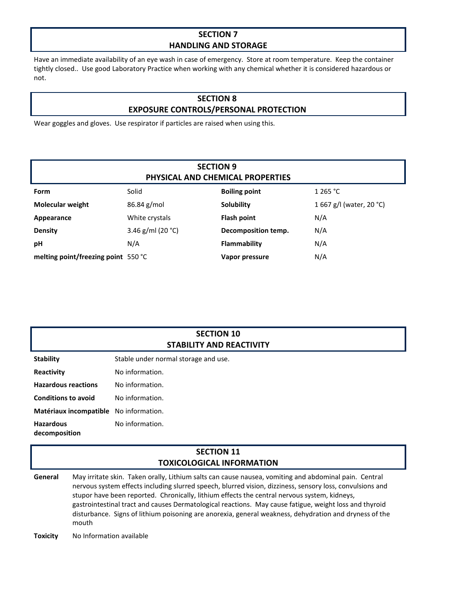## **SECTION 7 HANDLING AND STORAGE**

Have an immediate availability of an eye wash in case of emergency. Store at room temperature. Keep the container tightly closed.. Use good Laboratory Practice when working with any chemical whether it is considered hazardous or not.

## **SECTION 8 EXPOSURE CONTROLS/PERSONAL PROTECTION**

Wear goggles and gloves. Use respirator if particles are raised when using this.

| <b>SECTION 9</b><br>PHYSICAL AND CHEMICAL PROPERTIES |                      |                      |                          |  |  |  |
|------------------------------------------------------|----------------------|----------------------|--------------------------|--|--|--|
| Form                                                 | Solid                | <b>Boiling point</b> | 1 265 °C                 |  |  |  |
| <b>Molecular weight</b>                              | $86.84$ g/mol        | <b>Solubility</b>    | 1 667 g/l (water, 20 °C) |  |  |  |
| Appearance                                           | White crystals       | <b>Flash point</b>   | N/A                      |  |  |  |
| <b>Density</b>                                       | 3.46 g/ml (20 $°C$ ) | Decomposition temp.  | N/A                      |  |  |  |
| рH                                                   | N/A                  | Flammability         | N/A                      |  |  |  |
| melting point/freezing point 550 °C                  |                      | Vapor pressure       | N/A                      |  |  |  |

| <b>SECTION 10</b>        |  |  |  |
|--------------------------|--|--|--|
| STABILITY AND REACTIVITY |  |  |  |

**Stability** Stable under normal storage and use.

**Reactivity** No information.

**Hazardous reactions** No information.

**Conditions to avoid** No information.

**Matériaux incompatible** No information.

**Hazardous decomposition**  No information.

### **SECTION 11 TOXICOLOGICAL INFORMATION**

**General** May irritate skin. Taken orally, Lithium salts can cause nausea, vomiting and abdominal pain. Central nervous system effects including slurred speech, blurred vision, dizziness, sensory loss, convulsions and stupor have been reported. Chronically, lithium effects the central nervous system, kidneys, gastrointestinal tract and causes Dermatological reactions. May cause fatigue, weight loss and thyroid disturbance. Signs of lithium poisoning are anorexia, general weakness, dehydration and dryness of the mouth

**Toxicity** No Information available